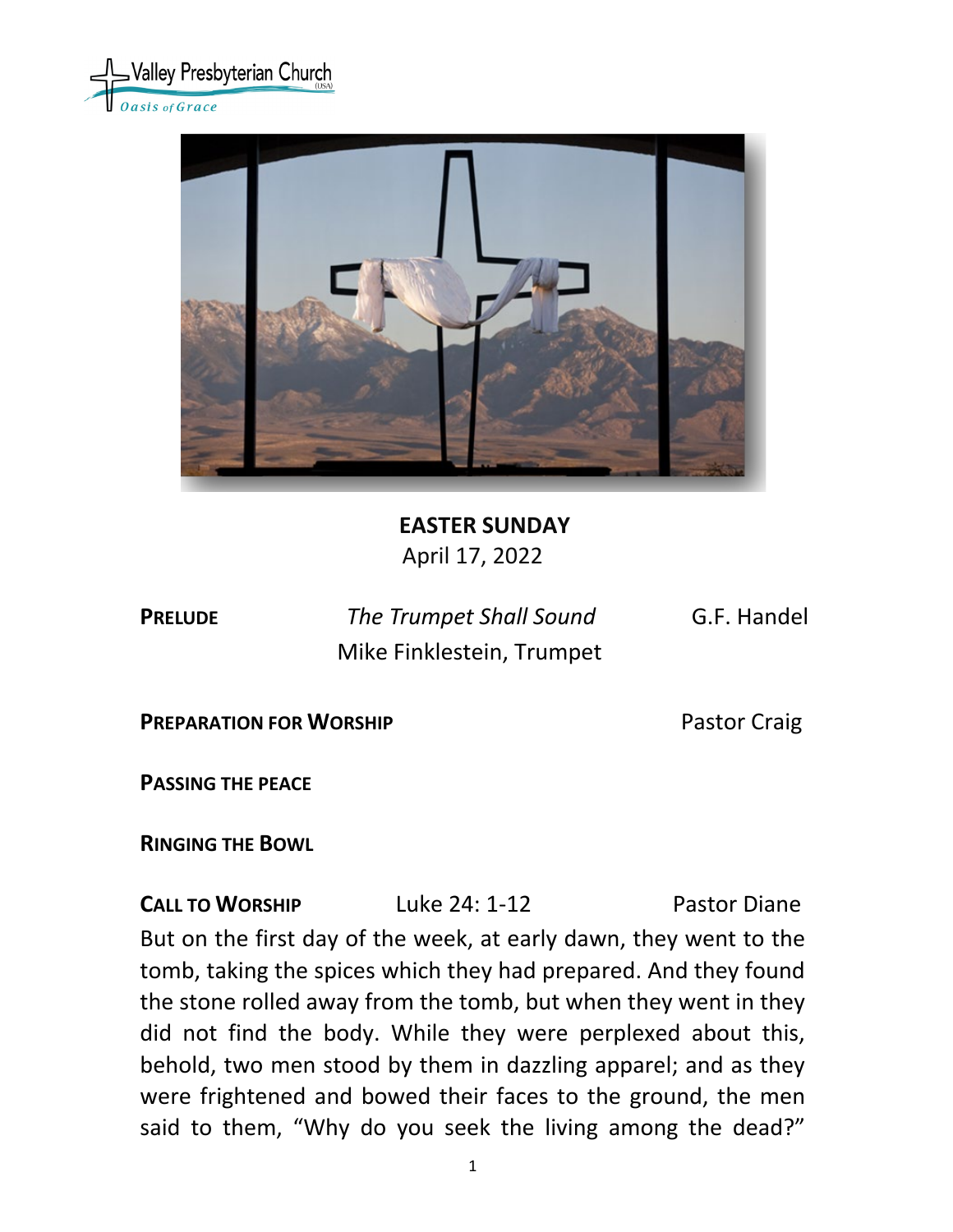



# **EASTER SUNDAY** April 17, 2022

**PRELUDE** *The Trumpet Shall Sound* G.F. Handel Mike Finklestein, Trumpet

**PREPARATION FOR WORSHIP PREPARATION FOR WORSHIP** 

**PASSING THE PEACE**

**RINGING THE BOWL** 

**CALL TO WORSHIP** Luke 24: 1-12 Pastor Diane But on the first day of the week, at early dawn, they went to the tomb, taking the spices which they had prepared. And they found the stone rolled away from the tomb, but when they went in they did not find the body. While they were perplexed about this, behold, two men stood by them in dazzling apparel; and as they were frightened and bowed their faces to the ground, the men said to them, "Why do you seek the living among the dead?"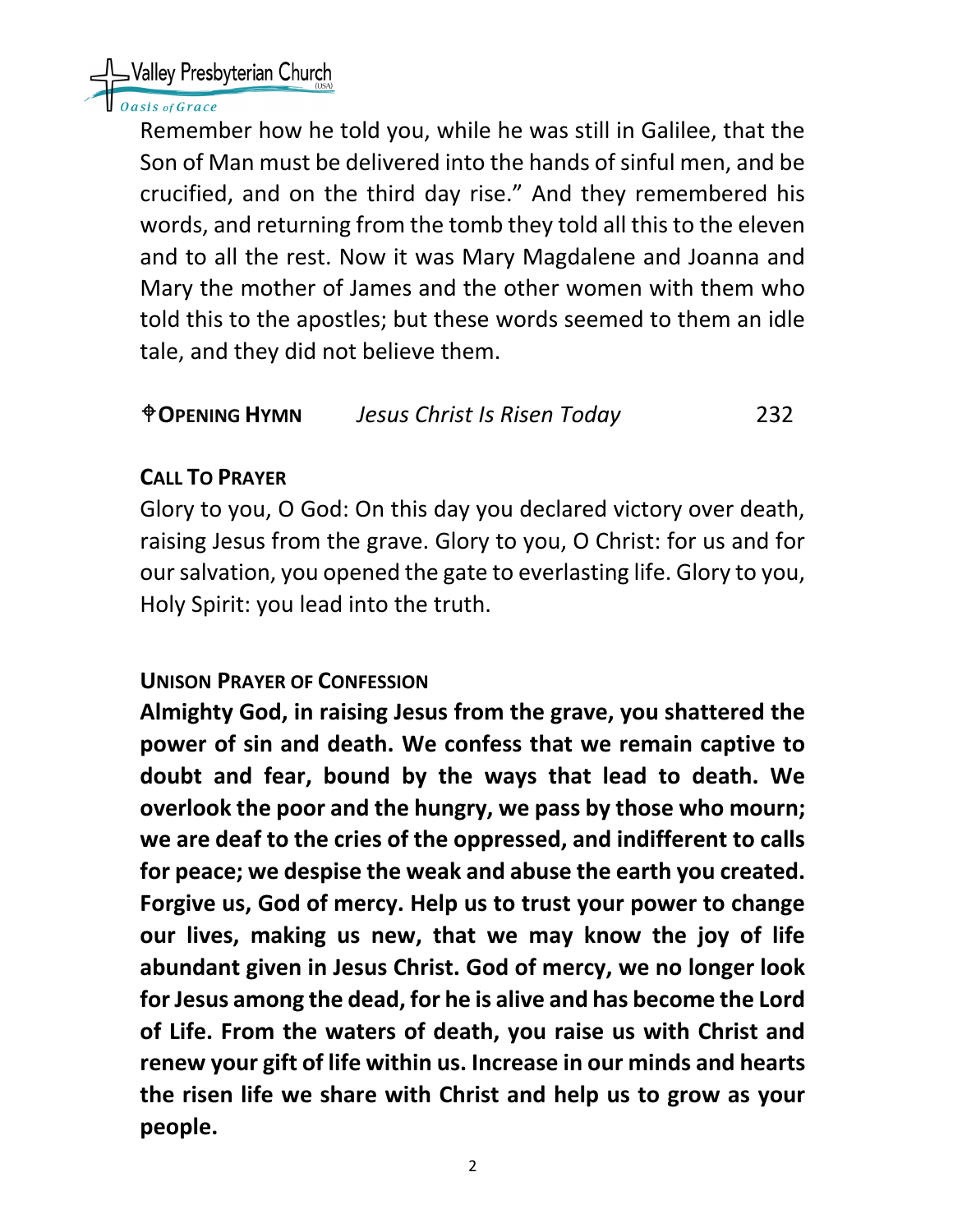Valley Presbyterian Church

### asis of Grace

Remember how he told you, while he was still in Galilee, that the Son of Man must be delivered into the hands of sinful men, and be crucified, and on the third day rise." And they remembered his words, and returning from the tomb they told all this to the eleven and to all the rest. Now it was Mary Magdalene and Joanna and Mary the mother of James and the other women with them who told this to the apostles; but these words seemed to them an idle tale, and they did not believe them.

## **OPENING HYMN** *Jesus Christ Is Risen Today* 232

## **CALL TO PRAYER**

Glory to you, O God: On this day you declared victory over death, raising Jesus from the grave. Glory to you, O Christ: for us and for our salvation, you opened the gate to everlasting life. Glory to you, Holy Spirit: you lead into the truth.

## **UNISON PRAYER OF CONFESSION**

**Almighty God, in raising Jesus from the grave, you shattered the power of sin and death. We confess that we remain captive to doubt and fear, bound by the ways that lead to death. We overlook the poor and the hungry, we pass by those who mourn; we are deaf to the cries of the oppressed, and indifferent to calls for peace; we despise the weak and abuse the earth you created. Forgive us, God of mercy. Help us to trust your power to change our lives, making us new, that we may know the joy of life abundant given in Jesus Christ. God of mercy, we no longer look for Jesus among the dead, for he is alive and has become the Lord of Life. From the waters of death, you raise us with Christ and renew your gift of life within us. Increase in our minds and hearts the risen life we share with Christ and help us to grow as your people.**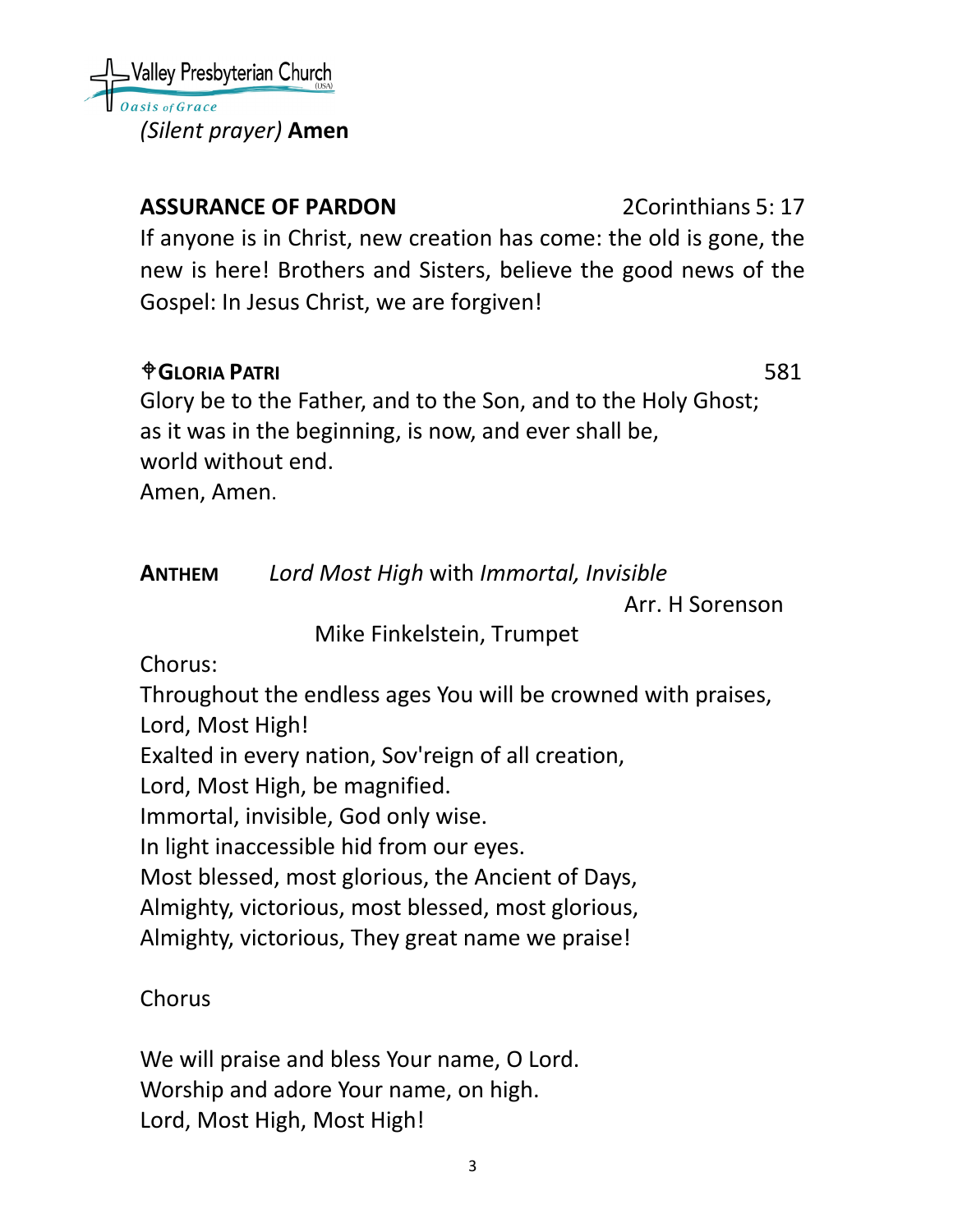Valley Presbyterian Church sis of Grace *(Silent prayer)* **Amen**

# **ASSURANCE OF PARDON** 2Corinthians 5: 17

If anyone is in Christ, new creation has come: the old is gone, the new is here! Brothers and Sisters, believe the good news of the Gospel: In Jesus Christ, we are forgiven!

# **GLORIA PATRI** 581

Glory be to the Father, and to the Son, and to the Holy Ghost; as it was in the beginning, is now, and ever shall be, world without end. Amen, Amen.

**ANTHEM** *Lord Most High* with *Immortal, Invisible*

Arr. H Sorenson

Mike Finkelstein, Trumpet

Chorus:

Throughout the endless ages You will be crowned with praises, Lord, Most High!

Exalted in every nation, Sov'reign of all creation,

Lord, Most High, be magnified.

Immortal, invisible, God only wise.

In light inaccessible hid from our eyes.

Most blessed, most glorious, the Ancient of Days,

Almighty, victorious, most blessed, most glorious,

Almighty, victorious, They great name we praise!

# **Chorus**

We will praise and bless Your name, O Lord. Worship and adore Your name, on high. Lord, Most High, Most High!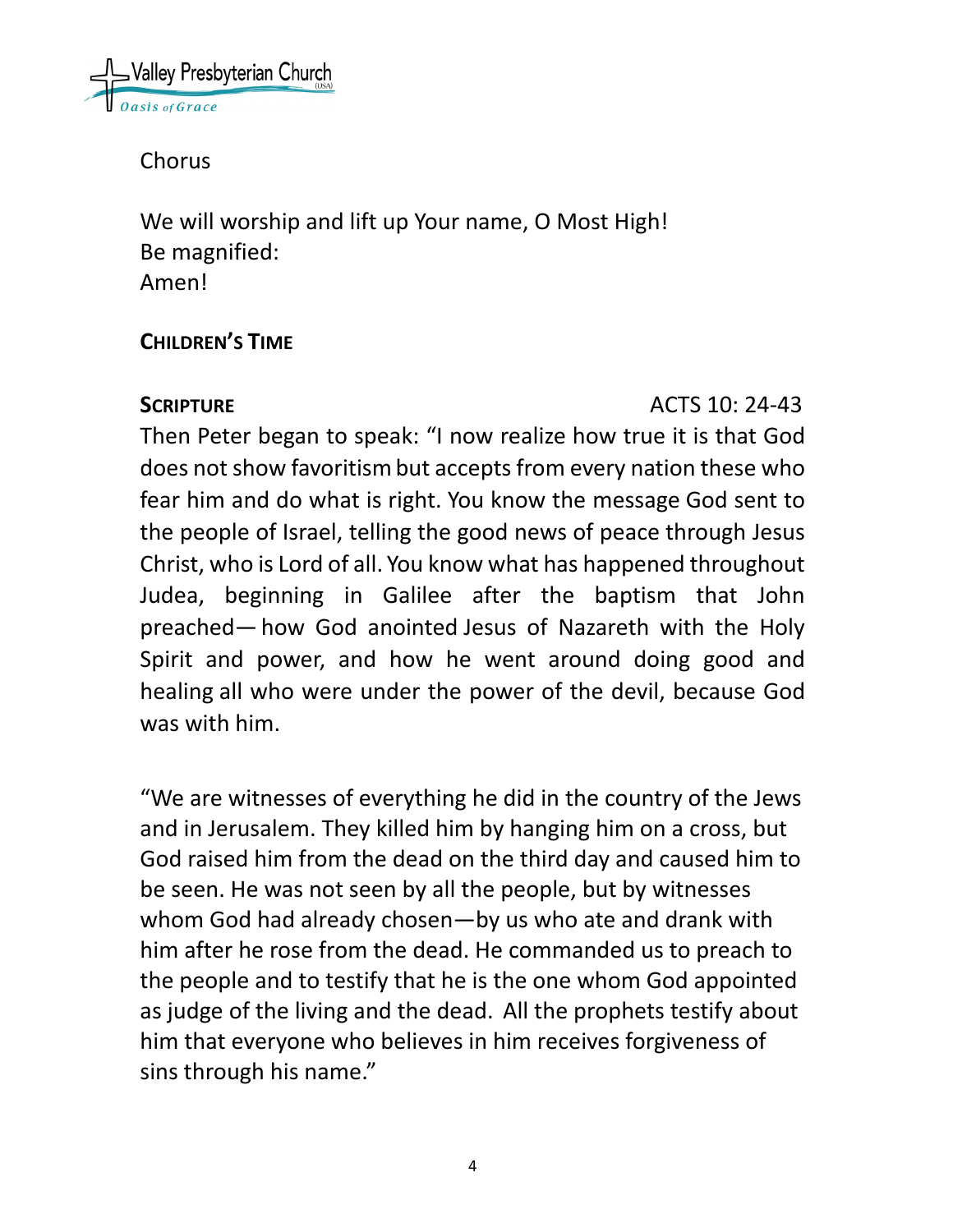

Chorus

We will worship and lift up Your name, O Most High! Be magnified: Amen!

## **CHILDREN'S TIME**

## **SCRIPTURE ACTS** 10: 24-43

Then Peter began to speak: "I now realize how true it is that God does not show favoritism but accepts from every nation these who fear him and do what is right. You know the message God sent to the people of Israel, telling the good news of peace through Jesus Christ, who is Lord of all. You know what has happened throughout Judea, beginning in Galilee after the baptism that John preached— how God anointed Jesus of Nazareth with the Holy Spirit and power, and how he went around doing good and healing all who were under the power of the devil, because God was with him.

"We are witnesses of everything he did in the country of the Jews and in Jerusalem. They killed him by hanging him on a cross, but God raised him from the dead on the third day and caused him to be seen. He was not seen by all the people, but by witnesses whom God had already chosen—by us who ate and drank with him after he rose from the dead. He commanded us to preach to the people and to testify that he is the one whom God appointed as judge of the living and the dead. All the prophets testify about him that everyone who believes in him receives forgiveness of sins through his name."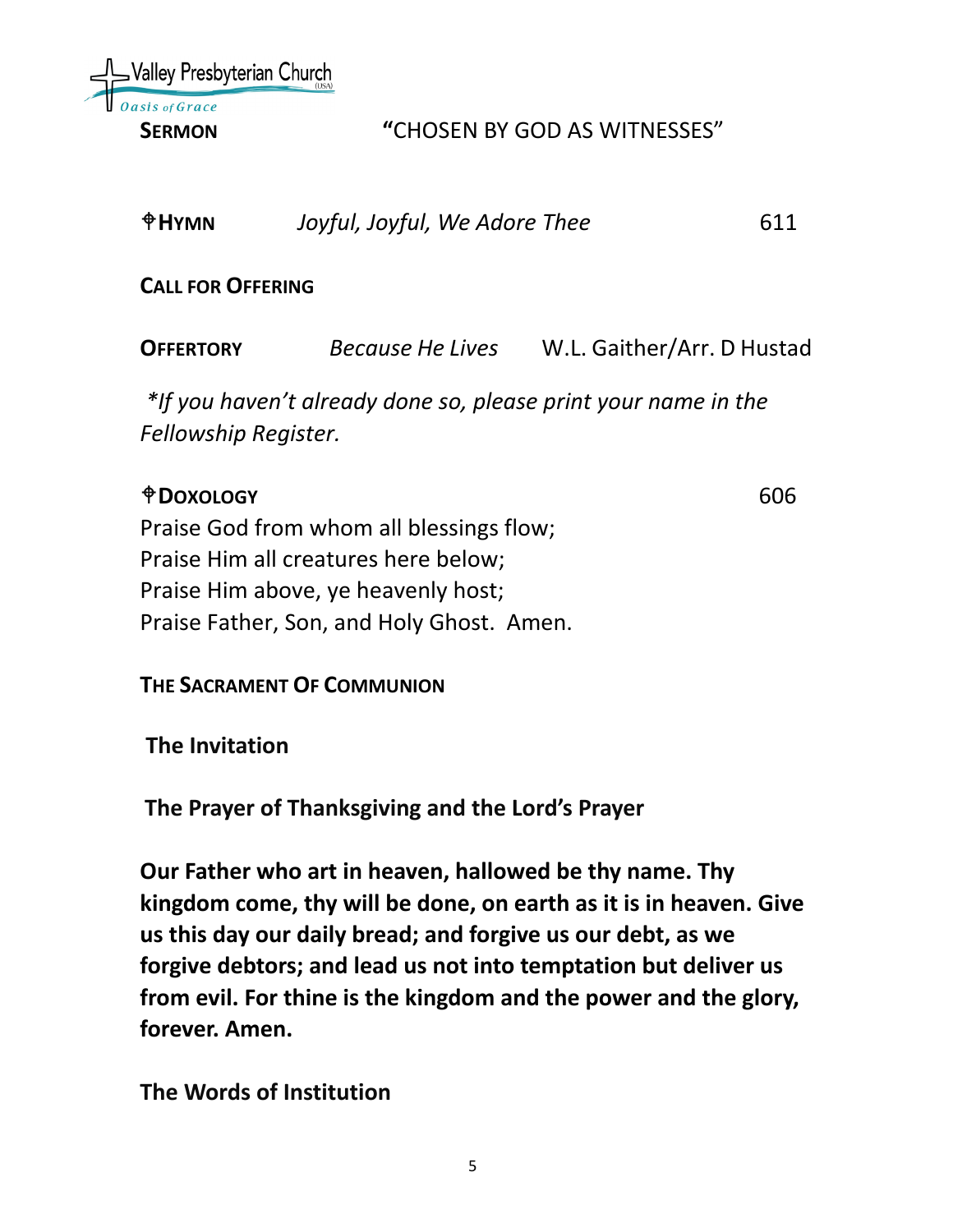Nalley Presbyterian Church

#### **SERMON "**CHOSEN BY GOD AS WITNESSES"

| $\oplus$ HYMN            | Joyful, Joyful, We Adore Thee | 611                        |
|--------------------------|-------------------------------|----------------------------|
| <b>CALL FOR OFFERING</b> |                               |                            |
| <b>OFFERTORY</b>         | Because He Lives              | W.L. Gaither/Arr. D Hustad |

*\*If you haven't already done so, please print your name in the Fellowship Register.*

## **DOXOLOGY** 606

Praise God from whom all blessings flow; Praise Him all creatures here below; Praise Him above, ye heavenly host; Praise Father, Son, and Holy Ghost. Amen.

**THE SACRAMENT OF COMMUNION**

**The Invitation**

**The Prayer of Thanksgiving and the Lord's Prayer**

**Our Father who art in heaven, hallowed be thy name. Thy kingdom come, thy will be done, on earth as it is in heaven. Give us this day our daily bread; and forgive us our debt, as we forgive debtors; and lead us not into temptation but deliver us from evil. For thine is the kingdom and the power and the glory, forever. Amen.**

**The Words of Institution**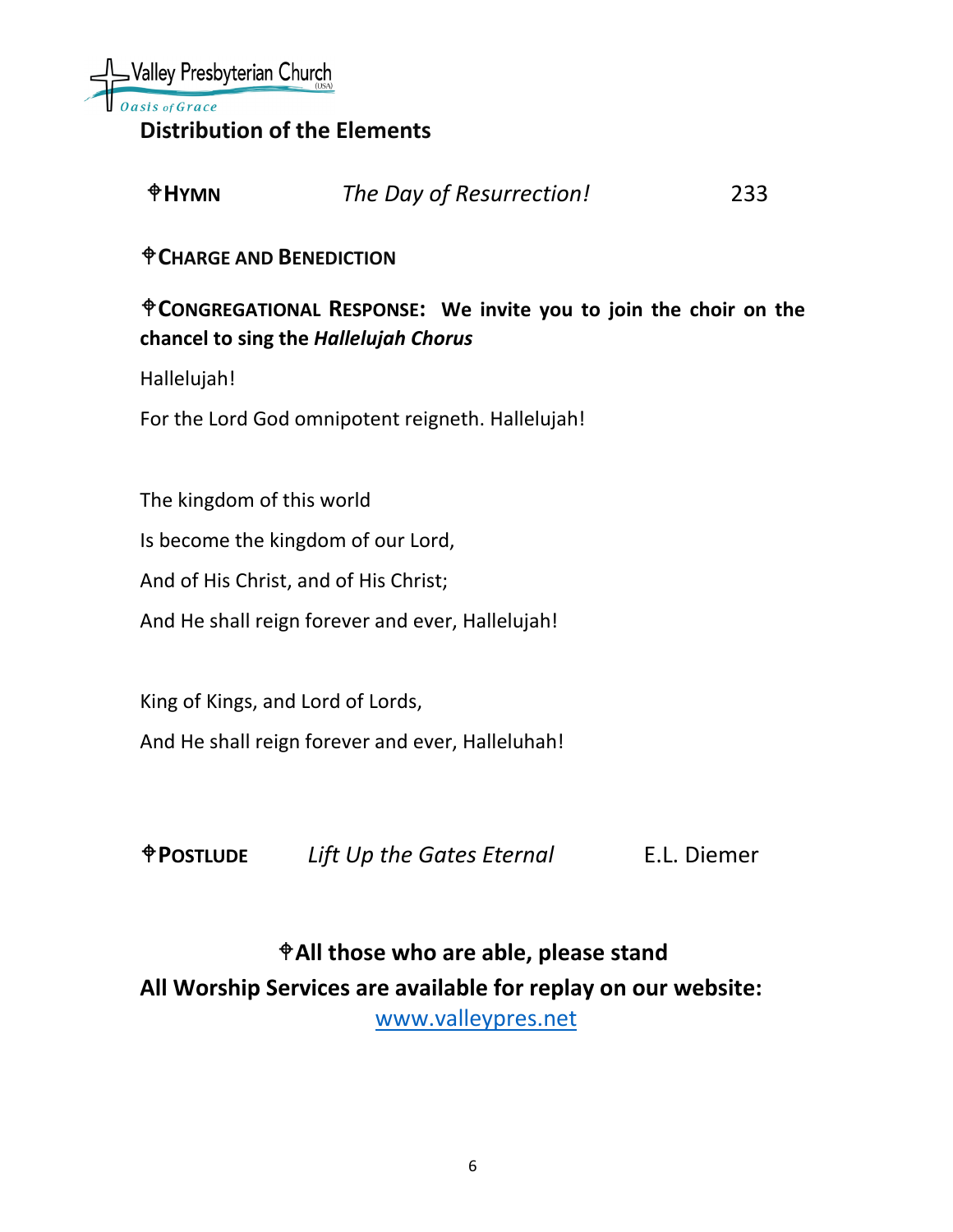

**Distribution of the Elements**

| $*HY$ MN | The Day of Resurrection! | 233 |
|----------|--------------------------|-----|
|          |                          |     |

**CHARGE AND BENEDICTION**

## **CONGREGATIONAL RESPONSE: We invite you to join the choir on the chancel to sing the** *Hallelujah Chorus*

Hallelujah!

For the Lord God omnipotent reigneth. Hallelujah!

The kingdom of this world

Is become the kingdom of our Lord,

And of His Christ, and of His Christ;

And He shall reign forever and ever, Hallelujah!

King of Kings, and Lord of Lords,

And He shall reign forever and ever, Halleluhah!

**POSTLUDE** *Lift Up the Gates Eternal* E.L. Diemer

**All those who are able, please stand All Worship Services are available for replay on our website:** 

[www.valleypres.net](http://www.valleypres.net/)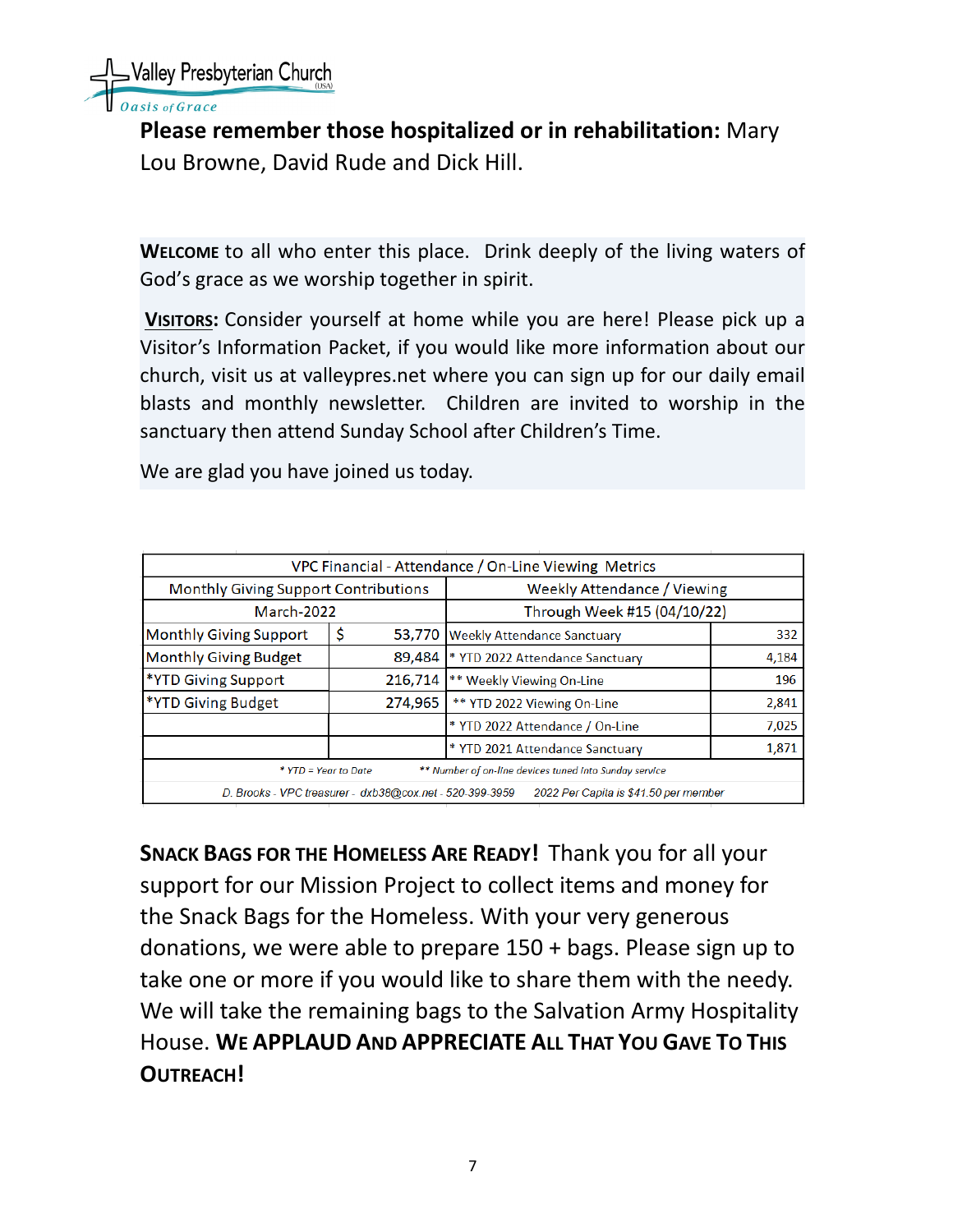

sis of Grace

**Please remember those hospitalized or in rehabilitation:** Mary Lou Browne, David Rude and Dick Hill.

**WELCOME** to all who enter this place. Drink deeply of the living waters of God's grace as we worship together in spirit.

**VISITORS:** Consider yourself at home while you are here! Please pick up a Visitor's Information Packet, if you would like more information about our church, visit us at valleypres.net where you can sign up for our daily email blasts and monthly newsletter. Children are invited to worship in the sanctuary then attend Sunday School after Children's Time.

We are glad you have joined us today.

| VPC Financial - Attendance / On-Line Viewing Metrics                                              |              |                                    |       |
|---------------------------------------------------------------------------------------------------|--------------|------------------------------------|-------|
| <b>Monthly Giving Support Contributions</b>                                                       |              | <b>Weekly Attendance / Viewing</b> |       |
| March-2022                                                                                        |              | Through Week #15 (04/10/22)        |       |
| <b>Monthly Giving Support</b>                                                                     | \$<br>53,770 | <b>Weekly Attendance Sanctuary</b> | 332   |
| <b>Monthly Giving Budget</b>                                                                      | 89,484       | * YTD 2022 Attendance Sanctuary    | 4,184 |
| *YTD Giving Support                                                                               | 216,714      | ** Weekly Viewing On-Line          | 196   |
| <b>*YTD Giving Budget</b>                                                                         | 274,965      | ** YTD 2022 Viewing On-Line        | 2,841 |
|                                                                                                   |              | * YTD 2022 Attendance / On-Line    | 7,025 |
|                                                                                                   |              | * YTD 2021 Attendance Sanctuary    | 1,871 |
| ** Number of on-line devices tuned into Sunday service<br>* YTD = Year to Date                    |              |                                    |       |
| 2022 Per Capita is \$41.50 per member<br>D. Brooks - VPC treasurer - dxb38@cox.net - 520-399-3959 |              |                                    |       |

**SNACK BAGS FOR THE HOMELESS ARE READY!** Thank you for all your support for our Mission Project to collect items and money for the Snack Bags for the Homeless. With your very generous donations, we were able to prepare 150 + bags. Please sign up to take one or more if you would like to share them with the needy. We will take the remaining bags to the Salvation Army Hospitality House. **WE APPLAUD AND APPRECIATE ALL THAT YOU GAVE TO THIS OUTREACH!**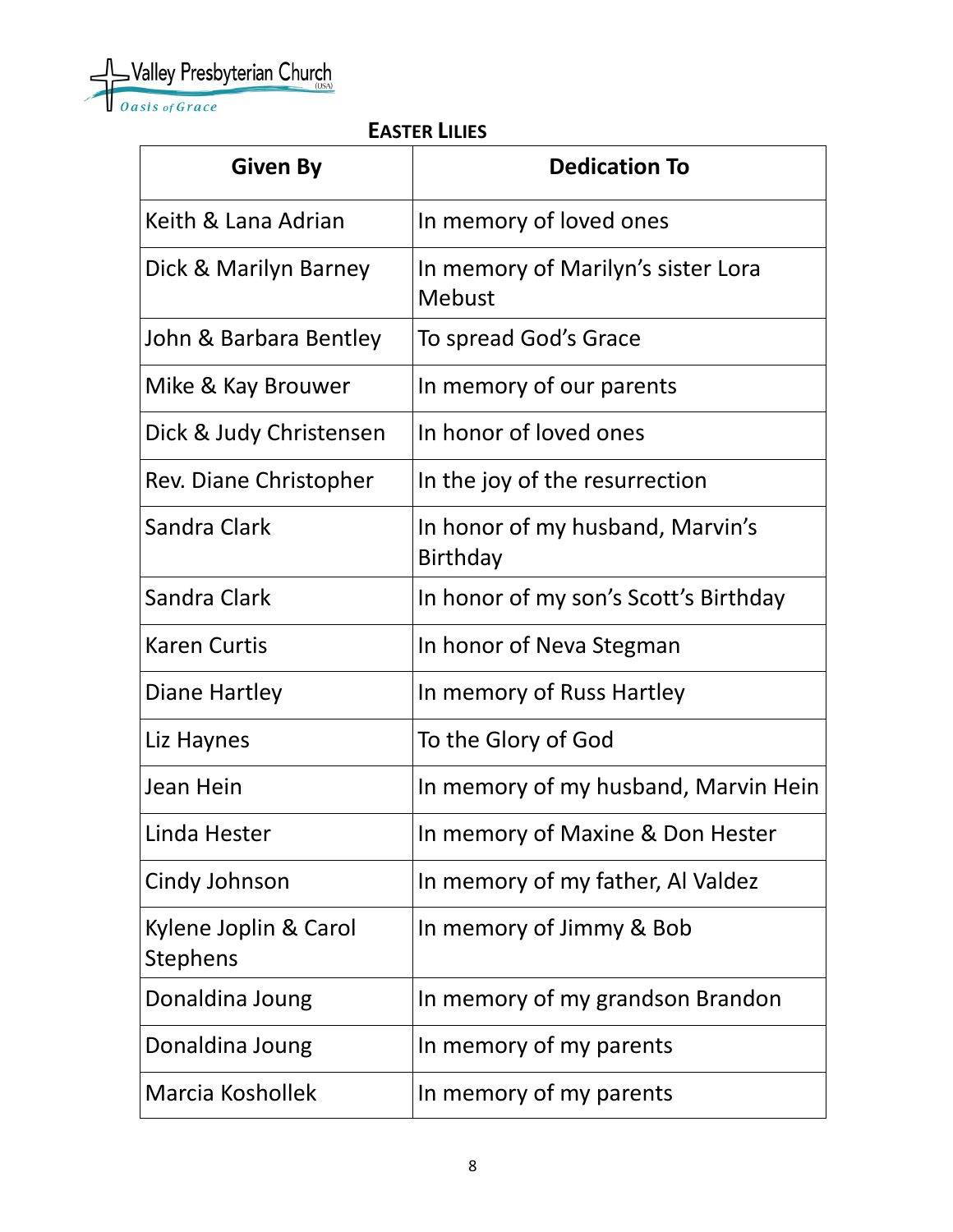Valley Presbyterian Church

 **EASTER LILIES** 

| <b>Given By</b>                          | <b>Dedication To</b>                                |
|------------------------------------------|-----------------------------------------------------|
| Keith & Lana Adrian                      | In memory of loved ones                             |
| Dick & Marilyn Barney                    | In memory of Marilyn's sister Lora<br>Mebust        |
| John & Barbara Bentley                   | To spread God's Grace                               |
| Mike & Kay Brouwer                       | In memory of our parents                            |
| Dick & Judy Christensen                  | In honor of loved ones                              |
| Rev. Diane Christopher                   | In the joy of the resurrection                      |
| Sandra Clark                             | In honor of my husband, Marvin's<br><b>Birthday</b> |
| Sandra Clark                             | In honor of my son's Scott's Birthday               |
| <b>Karen Curtis</b>                      | In honor of Neva Stegman                            |
| Diane Hartley                            | In memory of Russ Hartley                           |
| Liz Haynes                               | To the Glory of God                                 |
| Jean Hein                                | In memory of my husband, Marvin Hein                |
| Linda Hester                             | In memory of Maxine & Don Hester                    |
| Cindy Johnson                            | In memory of my father, Al Valdez                   |
| Kylene Joplin & Carol<br><b>Stephens</b> | In memory of Jimmy & Bob                            |
| Donaldina Joung                          | In memory of my grandson Brandon                    |
| Donaldina Joung                          | In memory of my parents                             |
| Marcia Koshollek                         | In memory of my parents                             |